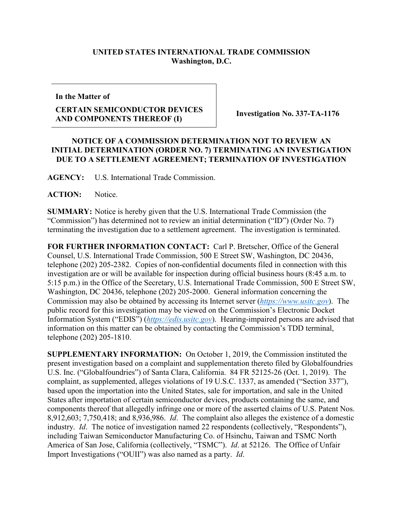## **UNITED STATES INTERNATIONAL TRADE COMMISSION Washington, D.C.**

**In the Matter of**

## **CERTAIN SEMICONDUCTOR DEVICES AND COMPONENTS THEREOF (I) Investigation No. 337-TA-1176**

## **NOTICE OF A COMMISSION DETERMINATION NOT TO REVIEW AN INITIAL DETERMINATION (ORDER NO. 7) TERMINATING AN INVESTIGATION DUE TO A SETTLEMENT AGREEMENT; TERMINATION OF INVESTIGATION**

**AGENCY:** U.S. International Trade Commission.

**ACTION:** Notice.

**SUMMARY:** Notice is hereby given that the U.S. International Trade Commission (the "Commission") has determined not to review an initial determination ("ID") (Order No. 7) terminating the investigation due to a settlement agreement. The investigation is terminated.

**FOR FURTHER INFORMATION CONTACT:** Carl P. Bretscher, Office of the General Counsel, U.S. International Trade Commission, 500 E Street SW, Washington, DC 20436, telephone (202) 205-2382. Copies of non-confidential documents filed in connection with this investigation are or will be available for inspection during official business hours (8:45 a.m. to 5:15 p.m.) in the Office of the Secretary, U.S. International Trade Commission, 500 E Street SW, Washington, DC 20436, telephone (202) 205-2000. General information concerning the Commission may also be obtained by accessing its Internet server (*[https://www.usitc.gov](https://www.usitc.gov/)*). The public record for this investigation may be viewed on the Commission's Electronic Docket Information System ("EDIS") (*[https://edis.usitc.gov](https://edis.usitc.gov/)*). Hearing-impaired persons are advised that information on this matter can be obtained by contacting the Commission's TDD terminal, telephone (202) 205-1810.

**SUPPLEMENTARY INFORMATION:** On October 1, 2019, the Commission instituted the present investigation based on a complaint and supplementation thereto filed by Globalfoundries U.S. Inc. ("Globalfoundries") of Santa Clara, California. 84 FR 52125-26 (Oct. 1, 2019). The complaint, as supplemented, alleges violations of 19 U.S.C. 1337, as amended ("Section 337"), based upon the importation into the United States, sale for importation, and sale in the United States after importation of certain semiconductor devices, products containing the same, and components thereof that allegedly infringe one or more of the asserted claims of U.S. Patent Nos. 8,912,603; 7,750,418; and 8,936,986. *Id*. The complaint also alleges the existence of a domestic industry. *Id*. The notice of investigation named 22 respondents (collectively, "Respondents"), including Taiwan Semiconductor Manufacturing Co. of Hsinchu, Taiwan and TSMC North America of San Jose, California (collectively, "TSMC"). *Id*. at 52126. The Office of Unfair Import Investigations ("OUII") was also named as a party. *Id*.